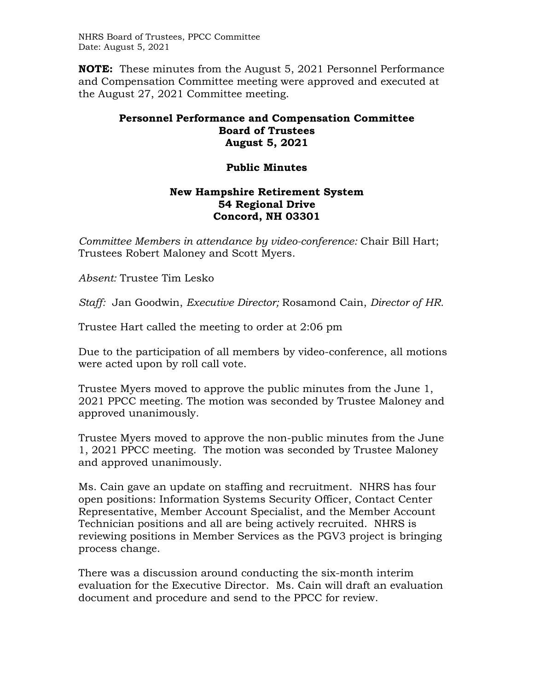NHRS Board of Trustees, PPCC Committee Date: August 5, 2021

**NOTE:** These minutes from the August 5, 2021 Personnel Performance and Compensation Committee meeting were approved and executed at the August 27, 2021 Committee meeting.

## **Personnel Performance and Compensation Committee Board of Trustees August 5, 2021**

## **Public Minutes**

## **New Hampshire Retirement System 54 Regional Drive Concord, NH 03301**

*Committee Members in attendance by video-conference:* Chair Bill Hart; Trustees Robert Maloney and Scott Myers.

*Absent:* Trustee Tim Lesko

*Staff:* Jan Goodwin, *Executive Director;* Rosamond Cain, *Director of HR.*

Trustee Hart called the meeting to order at 2:06 pm

Due to the participation of all members by video-conference, all motions were acted upon by roll call vote.

Trustee Myers moved to approve the public minutes from the June 1, 2021 PPCC meeting. The motion was seconded by Trustee Maloney and approved unanimously.

Trustee Myers moved to approve the non-public minutes from the June 1, 2021 PPCC meeting. The motion was seconded by Trustee Maloney and approved unanimously.

Ms. Cain gave an update on staffing and recruitment. NHRS has four open positions: Information Systems Security Officer, Contact Center Representative, Member Account Specialist, and the Member Account Technician positions and all are being actively recruited. NHRS is reviewing positions in Member Services as the PGV3 project is bringing process change.

There was a discussion around conducting the six-month interim evaluation for the Executive Director. Ms. Cain will draft an evaluation document and procedure and send to the PPCC for review.